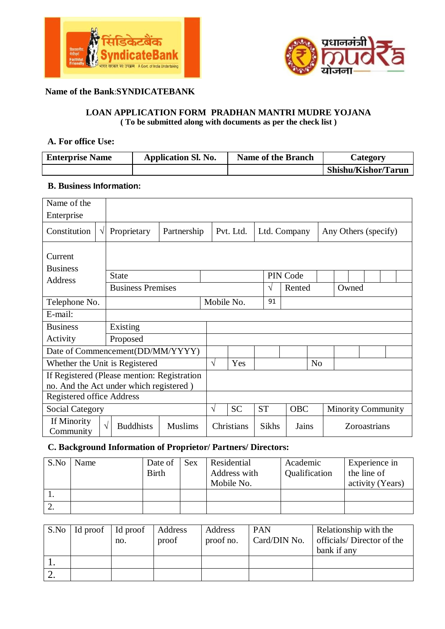



### **Name of the Bank**:**SYNDICATEBANK**

#### **LOAN APPLICATION FORM PRADHAN MANTRI MUDRE YOJANA ( To be submitted along with documents as per the check list )**

#### **A. For office Use:**

| <b>Enterprise Name</b> | <b>Application Sl. No.</b> | <b>Name of the Branch</b> | Category            |
|------------------------|----------------------------|---------------------------|---------------------|
|                        |                            |                           | Shishu/Kishor/Tarun |

## **B. Business Information:**

| Name of the                                                                            |                                                  |             |           |            |                |              |                |              |                           |  |
|----------------------------------------------------------------------------------------|--------------------------------------------------|-------------|-----------|------------|----------------|--------------|----------------|--------------|---------------------------|--|
| Enterprise                                                                             |                                                  |             |           |            |                |              |                |              |                           |  |
| Constitution<br>$\sqrt{ }$                                                             | Proprietary                                      | Partnership |           | Pvt. Ltd.  |                | Ltd. Company |                |              | Any Others (specify)      |  |
| Current<br><b>Business</b>                                                             |                                                  |             |           |            |                |              |                |              |                           |  |
| Address                                                                                | State                                            |             |           |            |                | PIN Code     |                |              |                           |  |
|                                                                                        | <b>Business Premises</b>                         |             |           |            | V              | Rented       |                |              | Owned                     |  |
| Telephone No.                                                                          |                                                  |             |           | Mobile No. | 91             |              |                |              |                           |  |
| E-mail:                                                                                |                                                  |             |           |            |                |              |                |              |                           |  |
| <b>Business</b>                                                                        | Existing                                         |             |           |            |                |              |                |              |                           |  |
| Activity                                                                               | Proposed                                         |             |           |            |                |              |                |              |                           |  |
| Date of Commencement(DD/MM/YYYY)                                                       |                                                  |             |           |            |                |              |                |              |                           |  |
| Whether the Unit is Registered                                                         |                                                  |             | $\sqrt{}$ | Yes        |                |              | N <sub>o</sub> |              |                           |  |
| If Registered (Please mention: Registration<br>no. And the Act under which registered) |                                                  |             |           |            |                |              |                |              |                           |  |
| Registered office Address                                                              |                                                  |             |           |            |                |              |                |              |                           |  |
| <b>Social Category</b>                                                                 |                                                  |             | $\sqrt{}$ | <b>SC</b>  | <b>ST</b>      | <b>OBC</b>   |                |              | <b>Minority Community</b> |  |
| If Minority<br>Community                                                               | $\sqrt{ }$<br><b>Buddhists</b><br><b>Muslims</b> |             |           | Christians | Sikhs<br>Jains |              |                | Zoroastrians |                           |  |

# **C. Background Information of Proprietor/ Partners/ Directors:**

| . . | S.No | Name | Date of<br><b>Birth</b> | <b>Sex</b> | Residential<br>Address with<br>Mobile No. | Academic<br>Qualification | Experience in<br>the line of<br>activity (Years) |
|-----|------|------|-------------------------|------------|-------------------------------------------|---------------------------|--------------------------------------------------|
|     |      |      |                         |            |                                           |                           |                                                  |
| ۷.  |      |      |                         |            |                                           |                           |                                                  |

| $S.No$   Id proof   Id proof | no. | Address<br>proof | Address<br>proof no. | <b>PAN</b><br>Card/DIN No. | Relationship with the<br>officials/Director of the<br>bank if any |
|------------------------------|-----|------------------|----------------------|----------------------------|-------------------------------------------------------------------|
|                              |     |                  |                      |                            |                                                                   |
|                              |     |                  |                      |                            |                                                                   |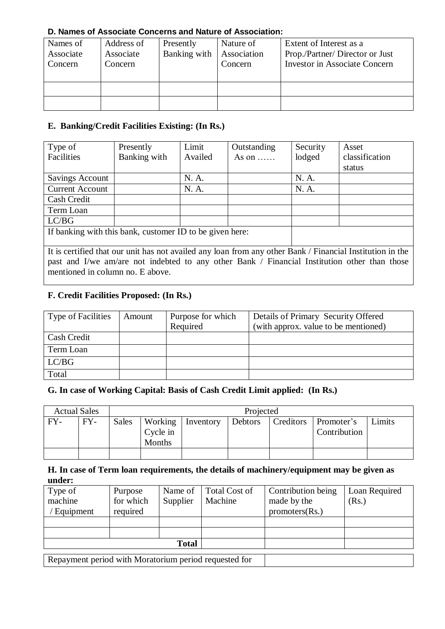### **D. Names of Associate Concerns and Nature of Association:**

| Names of<br>Associate<br>Concern | Address of<br>Associate<br>Concern | Presently<br>Banking with | Nature of<br>Association<br>Concern | Extent of Interest as a<br>Prop./Partner/ Director or Just<br><b>Investor in Associate Concern</b> |
|----------------------------------|------------------------------------|---------------------------|-------------------------------------|----------------------------------------------------------------------------------------------------|
|                                  |                                    |                           |                                     |                                                                                                    |
|                                  |                                    |                           |                                     |                                                                                                    |

# **E. Banking/Credit Facilities Existing: (In Rs.)**

| Type of                                                  | Presently                                                                                                 | Limit   | Outstanding   | Security | Asset          |  |  |  |
|----------------------------------------------------------|-----------------------------------------------------------------------------------------------------------|---------|---------------|----------|----------------|--|--|--|
| Facilities                                               | Banking with                                                                                              | Availed | As on $\dots$ | lodged   | classification |  |  |  |
|                                                          |                                                                                                           |         |               |          | status         |  |  |  |
| Savings Account                                          |                                                                                                           | N. A.   |               | N. A.    |                |  |  |  |
| <b>Current Account</b>                                   |                                                                                                           | N. A.   |               | N. A.    |                |  |  |  |
| Cash Credit                                              |                                                                                                           |         |               |          |                |  |  |  |
| Term Loan                                                |                                                                                                           |         |               |          |                |  |  |  |
| LC/BG                                                    |                                                                                                           |         |               |          |                |  |  |  |
| If banking with this bank, customer ID to be given here: |                                                                                                           |         |               |          |                |  |  |  |
|                                                          |                                                                                                           |         |               |          |                |  |  |  |
|                                                          | It is certified that our unit has not availed any loan from any other Bank / Financial Institution in the |         |               |          |                |  |  |  |

past and I/we am/are not indebted to any other Bank / Financial Institution other than those mentioned in column no. E above.

# **F. Credit Facilities Proposed: (In Rs.)**

| <b>Type of Facilities</b> | Amount | Purpose for which<br>Required | Details of Primary Security Offered<br>(with approx. value to be mentioned) |
|---------------------------|--------|-------------------------------|-----------------------------------------------------------------------------|
| <b>Cash Credit</b>        |        |                               |                                                                             |
| Term Loan                 |        |                               |                                                                             |
| LC/BG                     |        |                               |                                                                             |
| Total                     |        |                               |                                                                             |

# **G. In case of Working Capital: Basis of Cash Credit Limit applied: (In Rs.)**

| <b>Actual Sales</b> |       | Projected |                               |           |         |           |                            |        |
|---------------------|-------|-----------|-------------------------------|-----------|---------|-----------|----------------------------|--------|
| $FY-$               | $FY-$ | Sales     | Working<br>Cycle in<br>Months | Inventory | Debtors | Creditors | Promoter's<br>Contribution | Limits |
|                     |       |           |                               |           |         |           |                            |        |

#### **H. In case of Term loan requirements, the details of machinery/equipment may be given as under:**

| Type of                                               | Purpose   | Name of  | Total Cost of | Contribution being | Loan Required |  |  |
|-------------------------------------------------------|-----------|----------|---------------|--------------------|---------------|--|--|
| machine                                               | for which | Supplier | Machine       | made by the        | (Rs.)         |  |  |
| Equipment                                             | required  |          |               | promoters (Rs.)    |               |  |  |
|                                                       |           |          |               |                    |               |  |  |
|                                                       |           |          |               |                    |               |  |  |
|                                                       |           |          |               |                    |               |  |  |
|                                                       |           |          |               |                    |               |  |  |
| Repayment period with Moratorium period requested for |           |          |               |                    |               |  |  |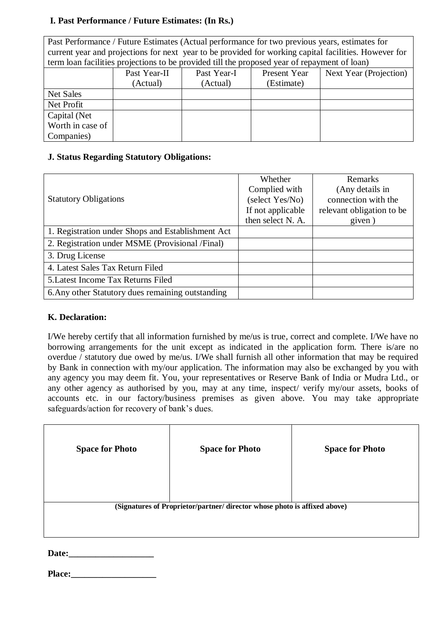## **I. Past Performance / Future Estimates: (In Rs.)**

| Past Performance / Future Estimates (Actual performance for two previous years, estimates for         |                                                                                              |             |              |                        |  |  |  |  |  |
|-------------------------------------------------------------------------------------------------------|----------------------------------------------------------------------------------------------|-------------|--------------|------------------------|--|--|--|--|--|
| current year and projections for next year to be provided for working capital facilities. However for |                                                                                              |             |              |                        |  |  |  |  |  |
|                                                                                                       | term loan facilities projections to be provided till the proposed year of repayment of loan) |             |              |                        |  |  |  |  |  |
|                                                                                                       | Past Year-II                                                                                 | Past Year-I | Present Year | Next Year (Projection) |  |  |  |  |  |
|                                                                                                       | (Actual)                                                                                     | (Actual)    | (Estimate)   |                        |  |  |  |  |  |
| Net Sales                                                                                             |                                                                                              |             |              |                        |  |  |  |  |  |
| Net Profit                                                                                            |                                                                                              |             |              |                        |  |  |  |  |  |
| Capital (Net)                                                                                         |                                                                                              |             |              |                        |  |  |  |  |  |
| Worth in case of                                                                                      |                                                                                              |             |              |                        |  |  |  |  |  |
| Companies)                                                                                            |                                                                                              |             |              |                        |  |  |  |  |  |

# **J. Status Regarding Statutory Obligations:**

|                                                   | Whether           | Remarks                   |
|---------------------------------------------------|-------------------|---------------------------|
|                                                   | Complied with     | (Any details in           |
| <b>Statutory Obligations</b>                      | (select Yes/No)   | connection with the       |
|                                                   | If not applicable | relevant obligation to be |
|                                                   | then select N. A. | given)                    |
| 1. Registration under Shops and Establishment Act |                   |                           |
| 2. Registration under MSME (Provisional /Final)   |                   |                           |
| 3. Drug License                                   |                   |                           |
| 4. Latest Sales Tax Return Filed                  |                   |                           |
| 5. Latest Income Tax Returns Filed                |                   |                           |
| 6. Any other Statutory dues remaining outstanding |                   |                           |

### **K. Declaration:**

I/We hereby certify that all information furnished by me/us is true, correct and complete. I/We have no borrowing arrangements for the unit except as indicated in the application form. There is/are no overdue / statutory due owed by me/us. I/We shall furnish all other information that may be required by Bank in connection with my/our application. The information may also be exchanged by you with any agency you may deem fit. You, your representatives or Reserve Bank of India or Mudra Ltd., or any other agency as authorised by you, may at any time, inspect/ verify my/our assets, books of accounts etc. in our factory/business premises as given above. You may take appropriate safeguards/action for recovery of bank's dues.

| <b>Space for Photo</b>                                                    | <b>Space for Photo</b> | <b>Space for Photo</b> |  |  |  |  |  |
|---------------------------------------------------------------------------|------------------------|------------------------|--|--|--|--|--|
|                                                                           |                        |                        |  |  |  |  |  |
| (Signatures of Proprietor/partner/ director whose photo is affixed above) |                        |                        |  |  |  |  |  |
|                                                                           |                        |                        |  |  |  |  |  |

Date:

|--|